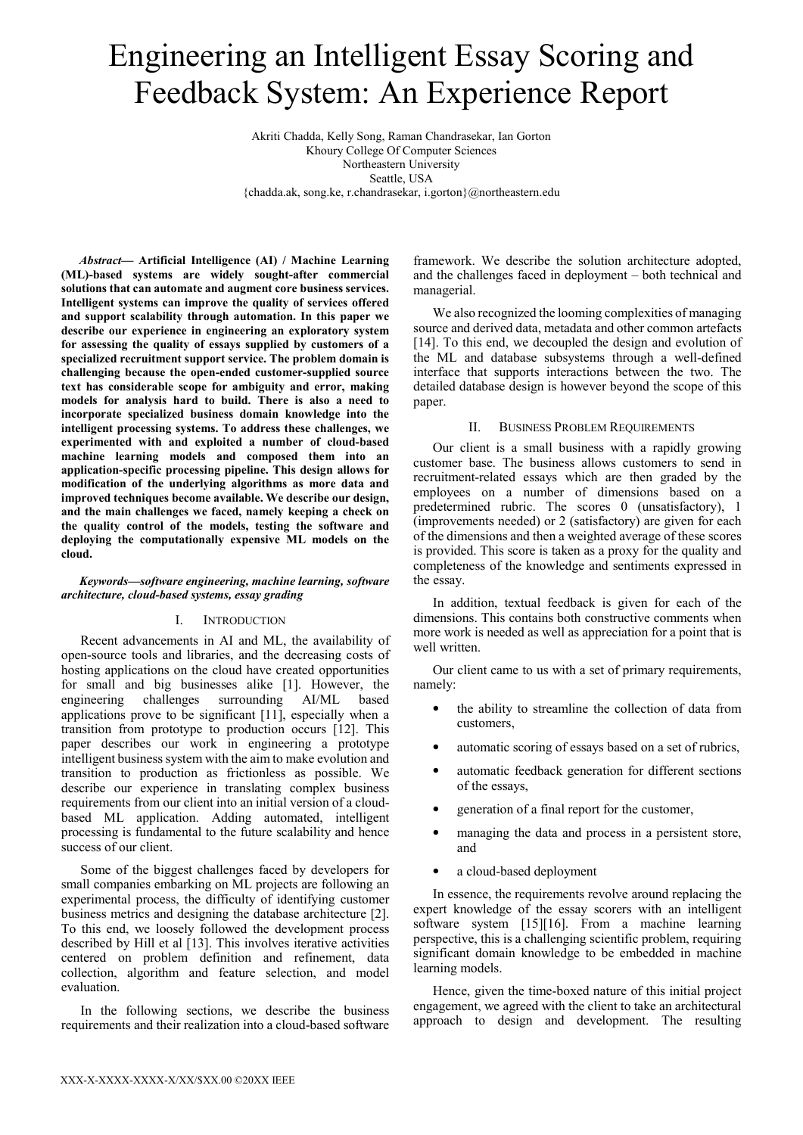# Engineering an Intelligent Essay Scoring and Feedback System: An Experience Report

Akriti Chadda, Kelly Song, Raman Chandrasekar, Ian Gorton Khoury College Of Computer Sciences Northeastern University Seattle, USA {chadda.ak, song.ke, r.chandrasekar, i.gorton}@northeastern.edu

*Abstract***— Artificial Intelligence (AI) / Machine Learning (ML)-based systems are widely sought-after commercial solutions that can automate and augment core business services. Intelligent systems can improve the quality of services offered and support scalability through automation. In this paper we describe our experience in engineering an exploratory system for assessing the quality of essays supplied by customers of a specialized recruitment support service. The problem domain is challenging because the open-ended customer-supplied source text has considerable scope for ambiguity and error, making models for analysis hard to build. There is also a need to incorporate specialized business domain knowledge into the intelligent processing systems. To address these challenges, we experimented with and exploited a number of cloud-based machine learning models and composed them into an application-specific processing pipeline. This design allows for modification of the underlying algorithms as more data and improved techniques become available. We describe our design, and the main challenges we faced, namely keeping a check on the quality control of the models, testing the software and deploying the computationally expensive ML models on the cloud.** 

## *Keywords—software engineering, machine learning, software architecture, cloud-based systems, essay grading*

## I. INTRODUCTION

Recent advancements in AI and ML, the availability of open-source tools and libraries, and the decreasing costs of hosting applications on the cloud have created opportunities for small and big businesses alike [1]. However, the engineering challenges surrounding AI/ML based applications prove to be significant [11], especially when a transition from prototype to production occurs [12]. This paper describes our work in engineering a prototype intelligent business system with the aim to make evolution and transition to production as frictionless as possible. We describe our experience in translating complex business requirements from our client into an initial version of a cloudbased ML application. Adding automated, intelligent processing is fundamental to the future scalability and hence success of our client.

Some of the biggest challenges faced by developers for small companies embarking on ML projects are following an experimental process, the difficulty of identifying customer business metrics and designing the database architecture [2]. To this end, we loosely followed the development process described by Hill et al [13]. This involves iterative activities centered on problem definition and refinement, data collection, algorithm and feature selection, and model evaluation.

In the following sections, we describe the business requirements and their realization into a cloud-based software

framework. We describe the solution architecture adopted, and the challenges faced in deployment – both technical and managerial.

We also recognized the looming complexities of managing source and derived data, metadata and other common artefacts [14]. To this end, we decoupled the design and evolution of the ML and database subsystems through a well-defined interface that supports interactions between the two. The detailed database design is however beyond the scope of this paper.

### II. BUSINESS PROBLEM REQUIREMENTS

Our client is a small business with a rapidly growing customer base. The business allows customers to send in recruitment-related essays which are then graded by the employees on a number of dimensions based on a predetermined rubric. The scores 0 (unsatisfactory), 1 (improvements needed) or 2 (satisfactory) are given for each of the dimensions and then a weighted average of these scores is provided. This score is taken as a proxy for the quality and completeness of the knowledge and sentiments expressed in the essay.

In addition, textual feedback is given for each of the dimensions. This contains both constructive comments when more work is needed as well as appreciation for a point that is well written.

Our client came to us with a set of primary requirements, namely:

- the ability to streamline the collection of data from customers,
- automatic scoring of essays based on a set of rubrics,
- automatic feedback generation for different sections of the essays,
- generation of a final report for the customer,
- managing the data and process in a persistent store, and
- a cloud-based deployment

In essence, the requirements revolve around replacing the expert knowledge of the essay scorers with an intelligent software system [15][16]. From a machine learning perspective, this is a challenging scientific problem, requiring significant domain knowledge to be embedded in machine learning models.

Hence, given the time-boxed nature of this initial project engagement, we agreed with the client to take an architectural approach to design and development. The resulting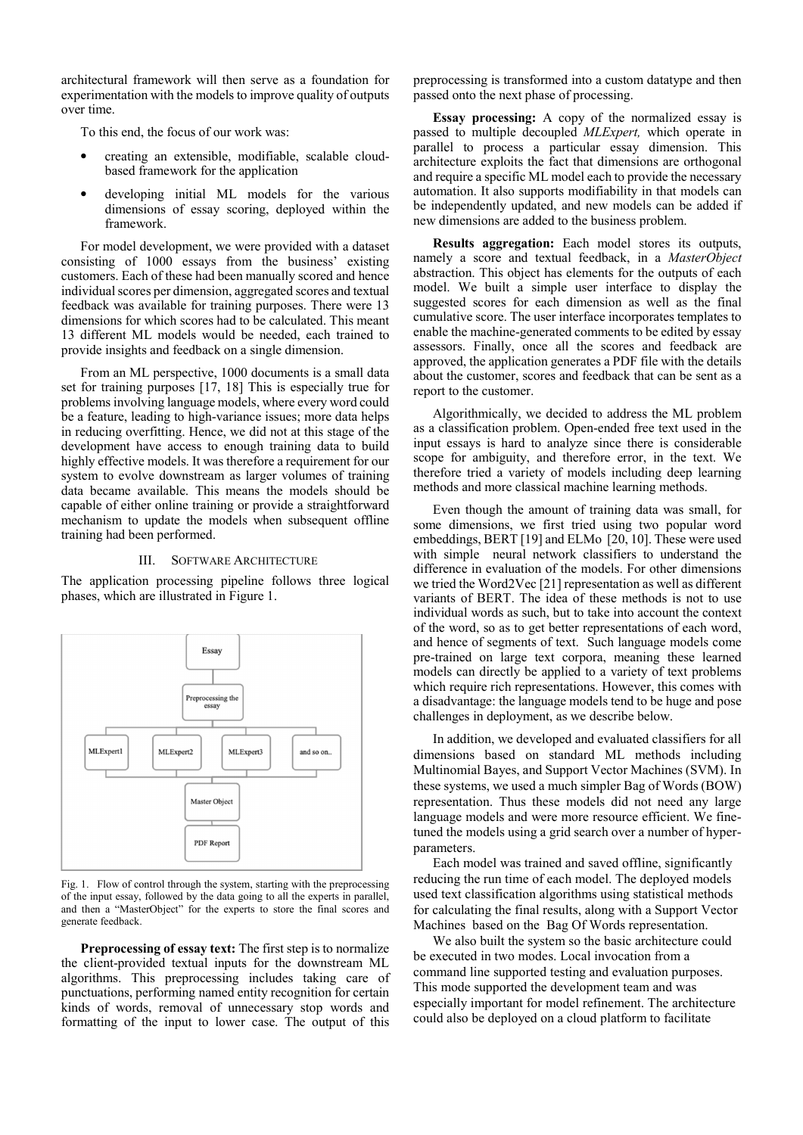architectural framework will then serve as a foundation for experimentation with the models to improve quality of outputs over time.

To this end, the focus of our work was:

- creating an extensible, modifiable, scalable cloudbased framework for the application
- developing initial ML models for the various dimensions of essay scoring, deployed within the framework.

For model development, we were provided with a dataset consisting of 1000 essays from the business' existing customers. Each of these had been manually scored and hence individual scores per dimension, aggregated scores and textual feedback was available for training purposes. There were 13 dimensions for which scores had to be calculated. This meant 13 different ML models would be needed, each trained to provide insights and feedback on a single dimension.

From an ML perspective, 1000 documents is a small data set for training purposes [17, 18] This is especially true for problems involving language models, where every word could be a feature, leading to high-variance issues; more data helps in reducing overfitting. Hence, we did not at this stage of the development have access to enough training data to build highly effective models. It was therefore a requirement for our system to evolve downstream as larger volumes of training data became available. This means the models should be capable of either online training or provide a straightforward mechanism to update the models when subsequent offline training had been performed.

#### III. SOFTWARE ARCHITECTURE

The application processing pipeline follows three logical phases, which are illustrated in Figure 1.



Fig. 1. Flow of control through the system, starting with the preprocessing of the input essay, followed by the data going to all the experts in parallel, and then a "MasterObject" for the experts to store the final scores and generate feedback.

**Preprocessing of essay text:** The first step is to normalize the client-provided textual inputs for the downstream ML algorithms. This preprocessing includes taking care of punctuations, performing named entity recognition for certain kinds of words, removal of unnecessary stop words and formatting of the input to lower case. The output of this

preprocessing is transformed into a custom datatype and then passed onto the next phase of processing.

**Essay processing:** A copy of the normalized essay is passed to multiple decoupled *MLExpert,* which operate in parallel to process a particular essay dimension. This architecture exploits the fact that dimensions are orthogonal and require a specific ML model each to provide the necessary automation. It also supports modifiability in that models can be independently updated, and new models can be added if new dimensions are added to the business problem.

**Results aggregation:** Each model stores its outputs, namely a score and textual feedback, in a *MasterObject* abstraction. This object has elements for the outputs of each model. We built a simple user interface to display the suggested scores for each dimension as well as the final cumulative score. The user interface incorporates templates to enable the machine-generated comments to be edited by essay assessors. Finally, once all the scores and feedback are approved, the application generates a PDF file with the details about the customer, scores and feedback that can be sent as a report to the customer.

Algorithmically, we decided to address the ML problem as a classification problem. Open-ended free text used in the input essays is hard to analyze since there is considerable scope for ambiguity, and therefore error, in the text. We therefore tried a variety of models including deep learning methods and more classical machine learning methods.

Even though the amount of training data was small, for some dimensions, we first tried using two popular word embeddings, BERT [19] and ELMo [20, 10]. These were used with simple neural network classifiers to understand the difference in evaluation of the models. For other dimensions we tried the Word2Vec [21] representation as well as different variants of BERT. The idea of these methods is not to use individual words as such, but to take into account the context of the word, so as to get better representations of each word, and hence of segments of text. Such language models come pre-trained on large text corpora, meaning these learned models can directly be applied to a variety of text problems which require rich representations. However, this comes with a disadvantage: the language models tend to be huge and pose challenges in deployment, as we describe below.

In addition, we developed and evaluated classifiers for all dimensions based on standard ML methods including Multinomial Bayes, and Support Vector Machines (SVM). In these systems, we used a much simpler Bag of Words (BOW) representation. Thus these models did not need any large language models and were more resource efficient. We finetuned the models using a grid search over a number of hyperparameters.

Each model was trained and saved offline, significantly reducing the run time of each model. The deployed models used text classification algorithms using statistical methods for calculating the final results, along with a Support Vector Machines based on the Bag Of Words representation.

We also built the system so the basic architecture could be executed in two modes. Local invocation from a command line supported testing and evaluation purposes. This mode supported the development team and was especially important for model refinement. The architecture could also be deployed on a cloud platform to facilitate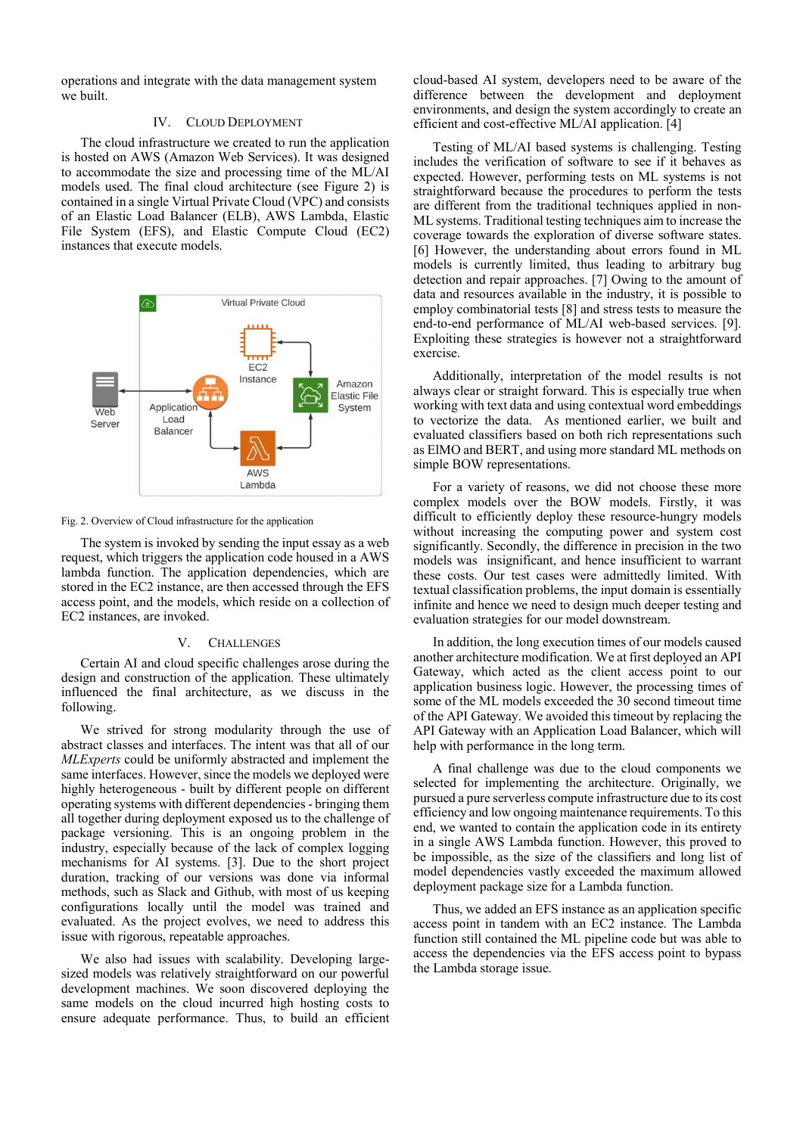operations and integrate with the data management system we built.

#### IV. CLOUD DEPLOYMENT

The cloud infrastructure we created to run the application is hosted on AWS (Amazon Web Services). It was designed to accommodate the size and processing time of the ML/AI models used. The final cloud architecture (see Figure 2) is contained in a single Virtual Private Cloud (VPC) and consists of an Elastic Load Balancer (ELB), AWS Lambda, Elastic File System (EFS), and Elastic Compute Cloud (EC2) instances that execute models.



Fig. 2. Overview of Cloud infrastructure for the application

The system is invoked by sending the input essay as a web request, which triggers the application code housed in a AWS lambda function. The application dependencies, which are stored in the EC2 instance, are then accessed through the EFS access point, and the models, which reside on a collection of EC2 instances, are invoked.

### V. CHALLENGES

Certain AI and cloud specific challenges arose during the design and construction of the application. These ultimately influenced the final architecture, as we discuss in the following.

We strived for strong modularity through the use of abstract classes and interfaces. The intent was that all of our *MLExperts* could be uniformly abstracted and implement the same interfaces. However, since the models we deployed were highly heterogeneous - built by different people on different operating systems with different dependencies - bringing them all together during deployment exposed us to the challenge of package versioning. This is an ongoing problem in the industry, especially because of the lack of complex logging mechanisms for AI systems. [3]. Due to the short project duration, tracking of our versions was done via informal methods, such as Slack and Github, with most of us keeping configurations locally until the model was trained and evaluated. As the project evolves, we need to address this issue with rigorous, repeatable approaches.

We also had issues with scalability. Developing largesized models was relatively straightforward on our powerful development machines. We soon discovered deploying the same models on the cloud incurred high hosting costs to ensure adequate performance. Thus, to build an efficient cloud-based AI system, developers need to be aware of the difference between the development and deployment environments, and design the system accordingly to create an efficient and cost-effective ML/AI application. [4]

Testing of ML/AI based systems is challenging. Testing includes the verification of software to see if it behaves as expected. However, performing tests on ML systems is not straightforward because the procedures to perform the tests are different from the traditional techniques applied in non-ML systems. Traditional testing techniques aim to increase the coverage towards the exploration of diverse software states. [6] However, the understanding about errors found in ML models is currently limited, thus leading to arbitrary bug detection and repair approaches. [7] Owing to the amount of data and resources available in the industry, it is possible to employ combinatorial tests [8] and stress tests to measure the end-to-end performance of ML/AI web-based services. [9]. Exploiting these strategies is however not a straightforward exercise.

Additionally, interpretation of the model results is not always clear or straight forward. This is especially true when working with text data and using contextual word embeddings to vectorize the data. As mentioned earlier, we built and evaluated classifiers based on both rich representations such as ElMO and BERT, and using more standard ML methods on simple BOW representations.

For a variety of reasons, we did not choose these more complex models over the BOW models. Firstly, it was difficult to efficiently deploy these resource-hungry models without increasing the computing power and system cost significantly. Secondly, the difference in precision in the two models was insignificant, and hence insufficient to warrant these costs. Our test cases were admittedly limited. With textual classification problems, the input domain is essentially infinite and hence we need to design much deeper testing and evaluation strategies for our model downstream.

In addition, the long execution times of our models caused another architecture modification. We at first deployed an API Gateway, which acted as the client access point to our application business logic. However, the processing times of some of the ML models exceeded the 30 second timeout time of the API Gateway. We avoided this timeout by replacing the API Gateway with an Application Load Balancer, which will help with performance in the long term.

A final challenge was due to the cloud components we selected for implementing the architecture. Originally, we pursued a pure serverless compute infrastructure due to its cost efficiency and low ongoing maintenance requirements. To this end, we wanted to contain the application code in its entirety in a single AWS Lambda function. However, this proved to be impossible, as the size of the classifiers and long list of model dependencies vastly exceeded the maximum allowed deployment package size for a Lambda function.

Thus, we added an EFS instance as an application specific access point in tandem with an EC2 instance. The Lambda function still contained the ML pipeline code but was able to access the dependencies via the EFS access point to bypass the Lambda storage issue.